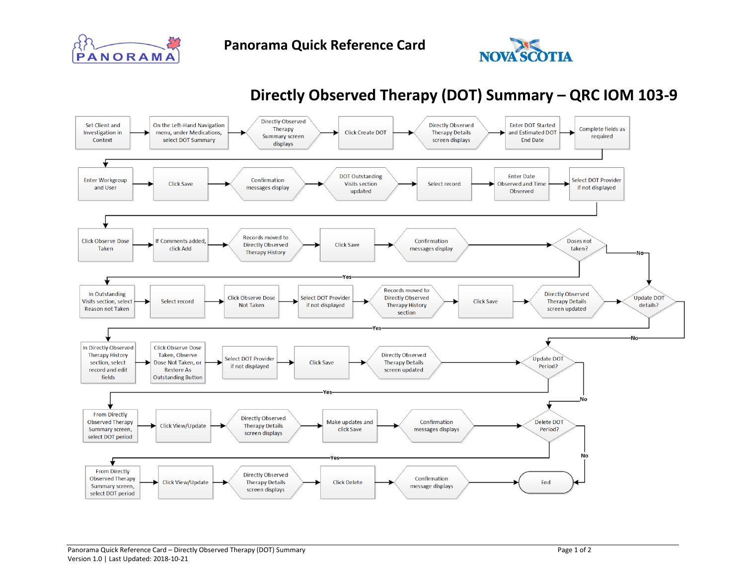



## **Directly Observed Therapy (DOT) Summary – QRC IOM 103-9**